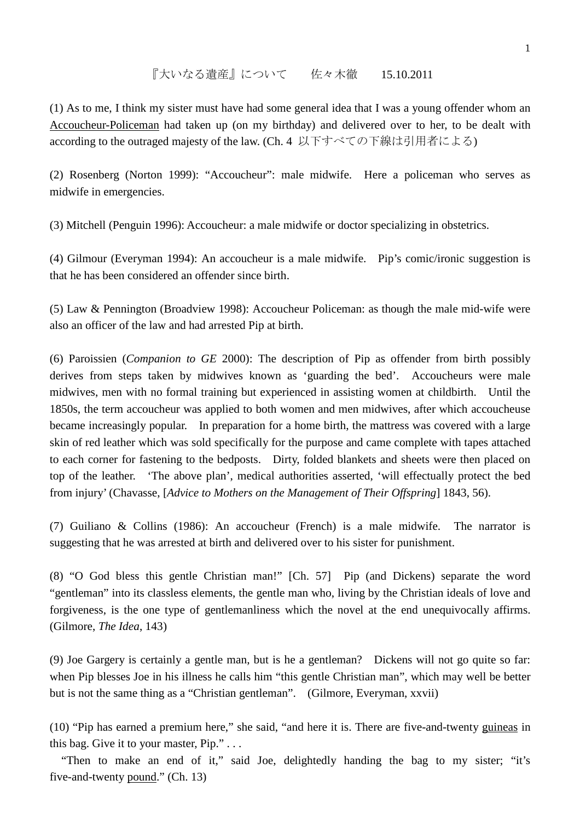## 『大いなる遺産』について 佐々木徹 15.10.2011

(1) As to me, I think my sister must have had some general idea that I was a young offender whom an Accoucheur-Policeman had taken up (on my birthday) and delivered over to her, to be dealt with according to the outraged majesty of the law. (Ch. 4 以下すべての下線は引用者による)

(2) Rosenberg (Norton 1999): "Accoucheur": male midwife. Here a policeman who serves as midwife in emergencies.

(3) Mitchell (Penguin 1996): Accoucheur: a male midwife or doctor specializing in obstetrics.

(4) Gilmour (Everyman 1994): An accoucheur is a male midwife. Pip's comic/ironic suggestion is that he has been considered an offender since birth.

(5) Law & Pennington (Broadview 1998): Accoucheur Policeman: as though the male mid-wife were also an officer of the law and had arrested Pip at birth.

(6) Paroissien (*Companion to GE* 2000): The description of Pip as offender from birth possibly derives from steps taken by midwives known as 'guarding the bed'. Accoucheurs were male midwives, men with no formal training but experienced in assisting women at childbirth. Until the 1850s, the term accoucheur was applied to both women and men midwives, after which accoucheuse became increasingly popular. In preparation for a home birth, the mattress was covered with a large skin of red leather which was sold specifically for the purpose and came complete with tapes attached to each corner for fastening to the bedposts. Dirty, folded blankets and sheets were then placed on top of the leather. 'The above plan', medical authorities asserted, 'will effectually protect the bed from injury' (Chavasse, [*Advice to Mothers on the Management of Their Offspring*] 1843, 56).

(7) Guiliano & Collins (1986): An accoucheur (French) is a male midwife. The narrator is suggesting that he was arrested at birth and delivered over to his sister for punishment.

(8) "O God bless this gentle Christian man!" [Ch. 57] Pip (and Dickens) separate the word "gentleman" into its classless elements, the gentle man who, living by the Christian ideals of love and forgiveness, is the one type of gentlemanliness which the novel at the end unequivocally affirms. (Gilmore, *The Idea*, 143)

(9) Joe Gargery is certainly a gentle man, but is he a gentleman? Dickens will not go quite so far: when Pip blesses Joe in his illness he calls him "this gentle Christian man", which may well be better but is not the same thing as a "Christian gentleman". (Gilmore, Everyman, xxvii)

(10) "Pip has earned a premium here," she said, "and here it is. There are five-and-twenty guineas in this bag. Give it to your master, Pip." . . .

"Then to make an end of it," said Joe, delightedly handing the bag to my sister; "it's five-and-twenty pound." (Ch. 13)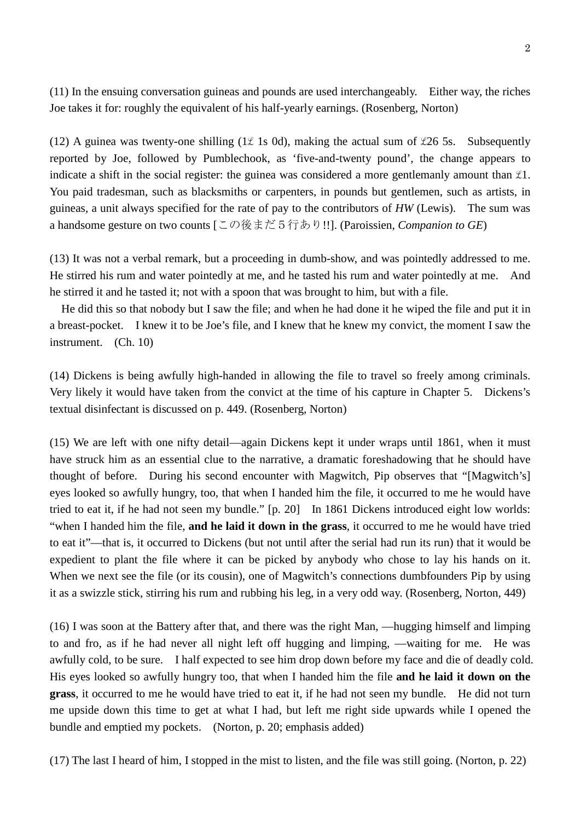(11) In the ensuing conversation guineas and pounds are used interchangeably. Either way, the riches Joe takes it for: roughly the equivalent of his half-yearly earnings. (Rosenberg, Norton)

(12) A guinea was twenty-one shilling (1 $\ell$  1s 0d), making the actual sum of  $\ell$ 26 5s. Subsequently reported by Joe, followed by Pumblechook, as 'five-and-twenty pound', the change appears to indicate a shift in the social register: the guinea was considered a more gentlemanly amount than  $\mathfrak{L}1$ . You paid tradesman, such as blacksmiths or carpenters, in pounds but gentlemen, such as artists, in guineas, a unit always specified for the rate of pay to the contributors of *HW* (Lewis). The sum was a handsome gesture on two counts [この後まだ5行あり!!]. (Paroissien, *Companion to GE*)

(13) It was not a verbal remark, but a proceeding in dumb-show, and was pointedly addressed to me. He stirred his rum and water pointedly at me, and he tasted his rum and water pointedly at me. And he stirred it and he tasted it; not with a spoon that was brought to him, but with a file.

He did this so that nobody but I saw the file; and when he had done it he wiped the file and put it in a breast-pocket. I knew it to be Joe's file, and I knew that he knew my convict, the moment I saw the instrument. (Ch. 10)

(14) Dickens is being awfully high-handed in allowing the file to travel so freely among criminals. Very likely it would have taken from the convict at the time of his capture in Chapter 5. Dickens's textual disinfectant is discussed on p. 449. (Rosenberg, Norton)

(15) We are left with one nifty detail—again Dickens kept it under wraps until 1861, when it must have struck him as an essential clue to the narrative, a dramatic foreshadowing that he should have thought of before. During his second encounter with Magwitch, Pip observes that "[Magwitch's] eyes looked so awfully hungry, too, that when I handed him the file, it occurred to me he would have tried to eat it, if he had not seen my bundle." [p. 20] In 1861 Dickens introduced eight low worlds: "when I handed him the file, **and he laid it down in the grass**, it occurred to me he would have tried to eat it"—that is, it occurred to Dickens (but not until after the serial had run its run) that it would be expedient to plant the file where it can be picked by anybody who chose to lay his hands on it. When we next see the file (or its cousin), one of Magwitch's connections dumbfounders Pip by using it as a swizzle stick, stirring his rum and rubbing his leg, in a very odd way. (Rosenberg, Norton, 449)

(16) I was soon at the Battery after that, and there was the right Man, —hugging himself and limping to and fro, as if he had never all night left off hugging and limping, —waiting for me. He was awfully cold, to be sure. I half expected to see him drop down before my face and die of deadly cold. His eyes looked so awfully hungry too, that when I handed him the file **and he laid it down on the grass**, it occurred to me he would have tried to eat it, if he had not seen my bundle. He did not turn me upside down this time to get at what I had, but left me right side upwards while I opened the bundle and emptied my pockets. (Norton, p. 20; emphasis added)

(17) The last I heard of him, I stopped in the mist to listen, and the file was still going. (Norton, p. 22)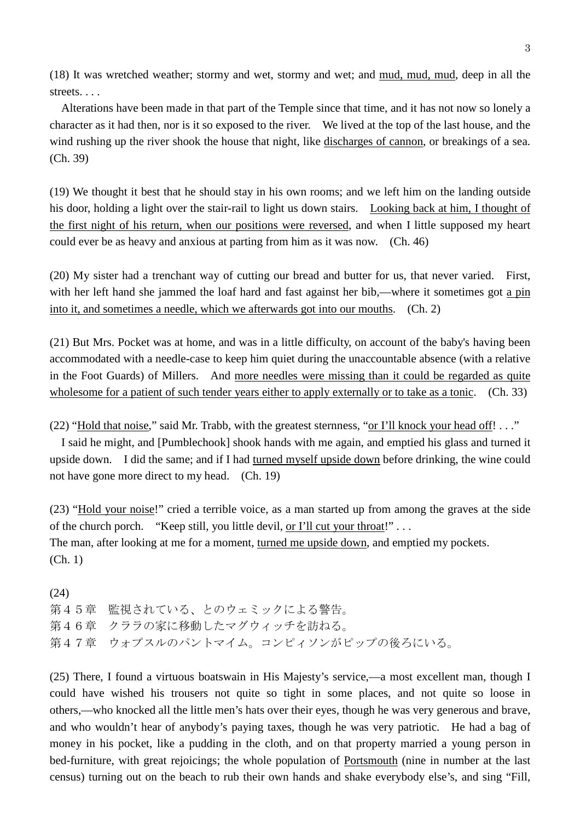(18) It was wretched weather; stormy and wet, stormy and wet; and mud, mud, mud, deep in all the streets. . . .

Alterations have been made in that part of the Temple since that time, and it has not now so lonely a character as it had then, nor is it so exposed to the river. We lived at the top of the last house, and the wind rushing up the river shook the house that night, like discharges of cannon, or breakings of a sea. (Ch. 39)

(19) We thought it best that he should stay in his own rooms; and we left him on the landing outside his door, holding a light over the stair-rail to light us down stairs. Looking back at him, I thought of the first night of his return, when our positions were reversed, and when I little supposed my heart could ever be as heavy and anxious at parting from him as it was now. (Ch. 46)

(20) My sister had a trenchant way of cutting our bread and butter for us, that never varied. First, with her left hand she jammed the loaf hard and fast against her bib,—where it sometimes got a pin into it, and sometimes a needle, which we afterwards got into our mouths. (Ch. 2)

(21) But Mrs. Pocket was at home, and was in a little difficulty, on account of the baby's having been accommodated with a needle-case to keep him quiet during the unaccountable absence (with a relative in the Foot Guards) of Millers. And more needles were missing than it could be regarded as quite wholesome for a patient of such tender years either to apply externally or to take as a tonic. (Ch. 33)

(22) "Hold that noise," said Mr. Trabb, with the greatest sternness, "or I'll knock your head off! . . ."

I said he might, and [Pumblechook] shook hands with me again, and emptied his glass and turned it upside down. I did the same; and if I had turned myself upside down before drinking, the wine could not have gone more direct to my head. (Ch. 19)

(23) "Hold your noise!" cried a terrible voice, as a man started up from among the graves at the side of the church porch. "Keep still, you little devil, or I'll cut your throat!" . . . The man, after looking at me for a moment, turned me upside down, and emptied my pockets. (Ch. 1)

(24) 第45章 監視されている、とのウェミックによる警告。 第46章 クララの家に移動したマグウィッチを訪ねる。 第47章 ウォプスルのパントマイム。コンピィソンがピップの後ろにいる。

(25) There, I found a virtuous boatswain in His Majesty's service,—a most excellent man, though I could have wished his trousers not quite so tight in some places, and not quite so loose in others,—who knocked all the little men's hats over their eyes, though he was very generous and brave, and who wouldn't hear of anybody's paying taxes, though he was very patriotic. He had a bag of money in his pocket, like a pudding in the cloth, and on that property married a young person in bed-furniture, with great rejoicings; the whole population of Portsmouth (nine in number at the last census) turning out on the beach to rub their own hands and shake everybody else's, and sing "Fill,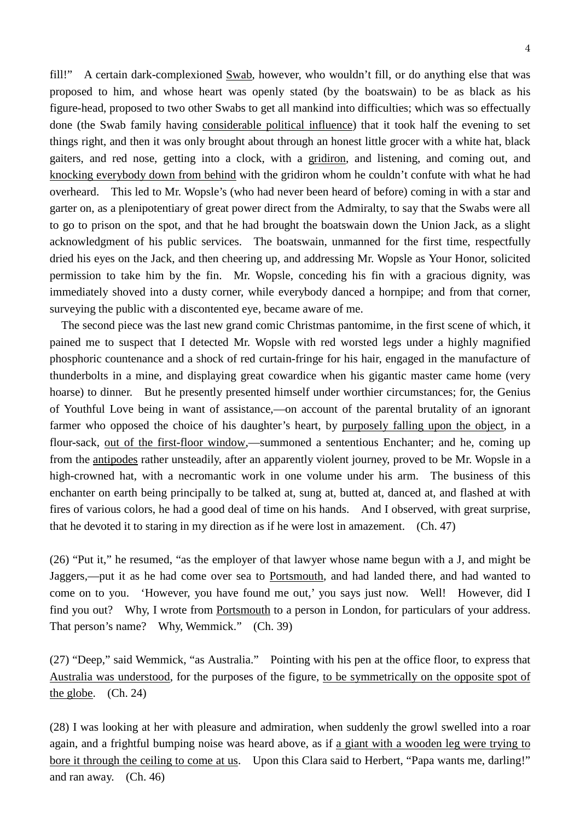fill!" A certain dark-complexioned Swab, however, who wouldn't fill, or do anything else that was proposed to him, and whose heart was openly stated (by the boatswain) to be as black as his figure-head, proposed to two other Swabs to get all mankind into difficulties; which was so effectually done (the Swab family having considerable political influence) that it took half the evening to set things right, and then it was only brought about through an honest little grocer with a white hat, black gaiters, and red nose, getting into a clock, with a gridiron, and listening, and coming out, and knocking everybody down from behind with the gridiron whom he couldn't confute with what he had overheard. This led to Mr. Wopsle's (who had never been heard of before) coming in with a star and garter on, as a plenipotentiary of great power direct from the Admiralty, to say that the Swabs were all to go to prison on the spot, and that he had brought the boatswain down the Union Jack, as a slight acknowledgment of his public services. The boatswain, unmanned for the first time, respectfully dried his eyes on the Jack, and then cheering up, and addressing Mr. Wopsle as Your Honor, solicited permission to take him by the fin. Mr. Wopsle, conceding his fin with a gracious dignity, was immediately shoved into a dusty corner, while everybody danced a hornpipe; and from that corner, surveying the public with a discontented eye, became aware of me.

The second piece was the last new grand comic Christmas pantomime, in the first scene of which, it pained me to suspect that I detected Mr. Wopsle with red worsted legs under a highly magnified phosphoric countenance and a shock of red curtain-fringe for his hair, engaged in the manufacture of thunderbolts in a mine, and displaying great cowardice when his gigantic master came home (very hoarse) to dinner. But he presently presented himself under worthier circumstances; for, the Genius of Youthful Love being in want of assistance,—on account of the parental brutality of an ignorant farmer who opposed the choice of his daughter's heart, by purposely falling upon the object, in a flour-sack, out of the first-floor window,—summoned a sententious Enchanter; and he, coming up from the antipodes rather unsteadily, after an apparently violent journey, proved to be Mr. Wopsle in a high-crowned hat, with a necromantic work in one volume under his arm. The business of this enchanter on earth being principally to be talked at, sung at, butted at, danced at, and flashed at with fires of various colors, he had a good deal of time on his hands. And I observed, with great surprise, that he devoted it to staring in my direction as if he were lost in amazement. (Ch. 47)

(26) "Put it," he resumed, "as the employer of that lawyer whose name begun with a J, and might be Jaggers,—put it as he had come over sea to Portsmouth, and had landed there, and had wanted to come on to you. 'However, you have found me out,' you says just now. Well! However, did I find you out? Why, I wrote from Portsmouth to a person in London, for particulars of your address. That person's name? Why, Wemmick." (Ch. 39)

(27) "Deep," said Wemmick, "as Australia." Pointing with his pen at the office floor, to express that Australia was understood, for the purposes of the figure, to be symmetrically on the opposite spot of the globe. (Ch. 24)

(28) I was looking at her with pleasure and admiration, when suddenly the growl swelled into a roar again, and a frightful bumping noise was heard above, as if a giant with a wooden leg were trying to bore it through the ceiling to come at us. Upon this Clara said to Herbert, "Papa wants me, darling!" and ran away. (Ch. 46)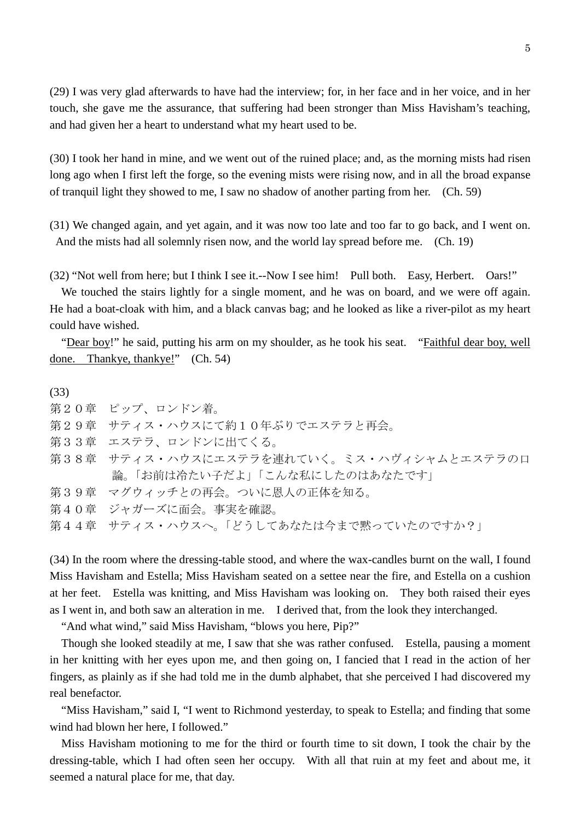(29) I was very glad afterwards to have had the interview; for, in her face and in her voice, and in her touch, she gave me the assurance, that suffering had been stronger than Miss Havisham's teaching, and had given her a heart to understand what my heart used to be.

(30) I took her hand in mine, and we went out of the ruined place; and, as the morning mists had risen long ago when I first left the forge, so the evening mists were rising now, and in all the broad expanse of tranquil light they showed to me, I saw no shadow of another parting from her. (Ch. 59)

(31) We changed again, and yet again, and it was now too late and too far to go back, and I went on. And the mists had all solemnly risen now, and the world lay spread before me. (Ch. 19)

(32) "Not well from here; but I think I see it.--Now I see him! Pull both. Easy, Herbert. Oars!"

 We touched the stairs lightly for a single moment, and he was on board, and we were off again. He had a boat-cloak with him, and a black canvas bag; and he looked as like a river-pilot as my heart could have wished.

"Dear boy!" he said, putting his arm on my shoulder, as he took his seat. "Faithful dear boy, well done. Thankye, thankye!" (Ch. 54)

(33) 第20章 ピップ、ロンドン着。 第29章 サティス・ハウスにて約10年ぶりでエステラと再会。 第33章 エステラ、ロンドンに出てくる。 第38章 サティス・ハウスにエステラを連れていく。ミス・ハヴィシャムとエステラの口 論。「お前は冷たい子だよ」「こんな私にしたのはあなたです」 第39章 マグウィッチとの再会。ついに恩人の正体を知る。 第40章 ジャガーズに面会。事実を確認。 第44章 サティス・ハウスへ。「どうしてあなたは今まで黙っていたのですか?」

(34) In the room where the dressing-table stood, and where the wax-candles burnt on the wall, I found Miss Havisham and Estella; Miss Havisham seated on a settee near the fire, and Estella on a cushion at her feet. Estella was knitting, and Miss Havisham was looking on. They both raised their eyes as I went in, and both saw an alteration in me. I derived that, from the look they interchanged.

"And what wind," said Miss Havisham, "blows you here, Pip?"

Though she looked steadily at me, I saw that she was rather confused. Estella, pausing a moment in her knitting with her eyes upon me, and then going on, I fancied that I read in the action of her fingers, as plainly as if she had told me in the dumb alphabet, that she perceived I had discovered my real benefactor.

"Miss Havisham," said I, "I went to Richmond yesterday, to speak to Estella; and finding that some wind had blown her here, I followed."

Miss Havisham motioning to me for the third or fourth time to sit down, I took the chair by the dressing-table, which I had often seen her occupy. With all that ruin at my feet and about me, it seemed a natural place for me, that day.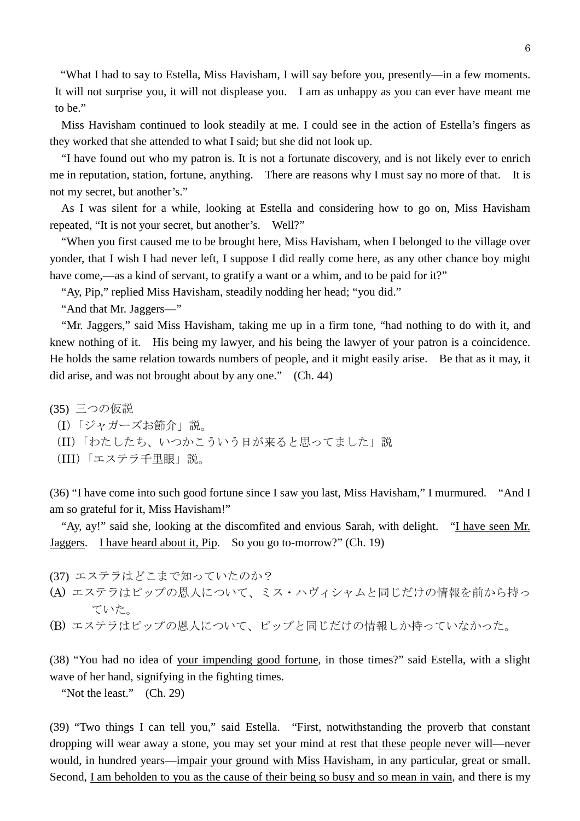"What I had to say to Estella, Miss Havisham, I will say before you, presently—in a few moments. It will not surprise you, it will not displease you. I am as unhappy as you can ever have meant me to be."

Miss Havisham continued to look steadily at me. I could see in the action of Estella's fingers as they worked that she attended to what I said; but she did not look up.

"I have found out who my patron is. It is not a fortunate discovery, and is not likely ever to enrich me in reputation, station, fortune, anything. There are reasons why I must say no more of that. It is not my secret, but another's."

As I was silent for a while, looking at Estella and considering how to go on, Miss Havisham repeated, "It is not your secret, but another's. Well?"

"When you first caused me to be brought here, Miss Havisham, when I belonged to the village over yonder, that I wish I had never left, I suppose I did really come here, as any other chance boy might have come,—as a kind of servant, to gratify a want or a whim, and to be paid for it?"

"Ay, Pip," replied Miss Havisham, steadily nodding her head; "you did."

"And that Mr. Jaggers—"

"Mr. Jaggers," said Miss Havisham, taking me up in a firm tone, "had nothing to do with it, and knew nothing of it. His being my lawyer, and his being the lawyer of your patron is a coincidence. He holds the same relation towards numbers of people, and it might easily arise. Be that as it may, it did arise, and was not brought about by any one." (Ch. 44)

(35) 三つの仮説

- (I)「ジャガーズお節介」説。
- (II)「わたしたち、いつかこういう日が来ると思ってました」説
- (III)「エステラ千里眼」説。

(36) "I have come into such good fortune since I saw you last, Miss Havisham," I murmured. "And I am so grateful for it, Miss Havisham!"

"Ay, ay!" said she, looking at the discomfited and envious Sarah, with delight. "I have seen Mr. Jaggers. I have heard about it, Pip. So you go to-morrow?" (Ch. 19)

- (37) エステラはどこまで知っていたのか?
- (A) エステラはピップの恩人について、ミス・ハヴィシャムと同じだけの情報を前から持っ ていた。
- (B) エステラはピップの恩人について、ピップと同じだけの情報しか持っていなかった。

(38) "You had no idea of your impending good fortune, in those times?" said Estella, with a slight wave of her hand, signifying in the fighting times.

"Not the least." (Ch. 29)

(39) "Two things I can tell you," said Estella. "First, notwithstanding the proverb that constant dropping will wear away a stone, you may set your mind at rest that these people never will—never would, in hundred years—impair your ground with Miss Havisham, in any particular, great or small. Second, I am beholden to you as the cause of their being so busy and so mean in vain, and there is my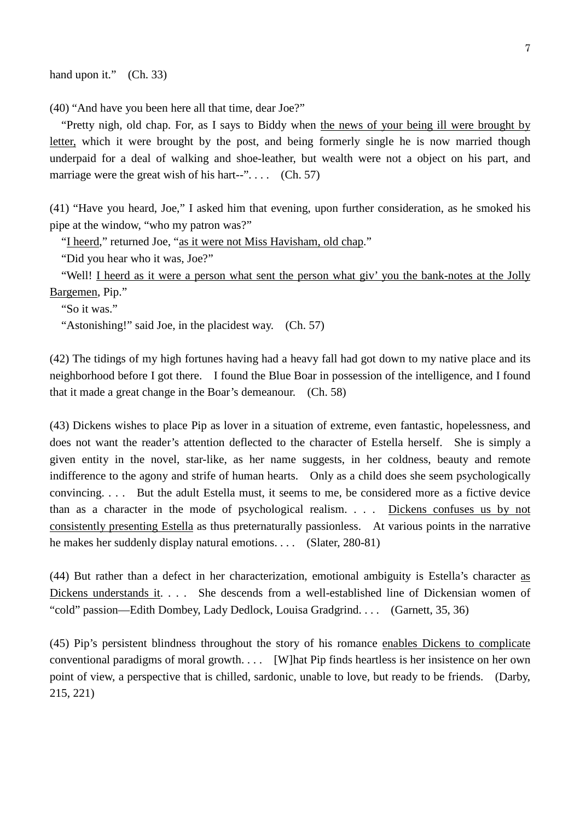hand upon it." (Ch. 33)

(40) "And have you been here all that time, dear Joe?"

"Pretty nigh, old chap. For, as I says to Biddy when the news of your being ill were brought by letter, which it were brought by the post, and being formerly single he is now married though underpaid for a deal of walking and shoe-leather, but wealth were not a object on his part, and marriage were the great wish of his hart--" $\dots$  (Ch. 57)

(41) "Have you heard, Joe," I asked him that evening, upon further consideration, as he smoked his pipe at the window, "who my patron was?"

"I heerd," returned Joe, "as it were not Miss Havisham, old chap."

"Did you hear who it was, Joe?"

"Well! I heerd as it were a person what sent the person what giv' you the bank-notes at the Jolly Bargemen, Pip."

"So it was."

"Astonishing!" said Joe, in the placidest way. (Ch. 57)

(42) The tidings of my high fortunes having had a heavy fall had got down to my native place and its neighborhood before I got there. I found the Blue Boar in possession of the intelligence, and I found that it made a great change in the Boar's demeanour. (Ch. 58)

(43) Dickens wishes to place Pip as lover in a situation of extreme, even fantastic, hopelessness, and does not want the reader's attention deflected to the character of Estella herself. She is simply a given entity in the novel, star-like, as her name suggests, in her coldness, beauty and remote indifference to the agony and strife of human hearts. Only as a child does she seem psychologically convincing. . . . But the adult Estella must, it seems to me, be considered more as a fictive device than as a character in the mode of psychological realism. . . . Dickens confuses us by not consistently presenting Estella as thus preternaturally passionless. At various points in the narrative he makes her suddenly display natural emotions. . . . (Slater, 280-81)

(44) But rather than a defect in her characterization, emotional ambiguity is Estella's character as Dickens understands it. . . . She descends from a well-established line of Dickensian women of "cold" passion—Edith Dombey, Lady Dedlock, Louisa Gradgrind. . . . (Garnett, 35, 36)

(45) Pip's persistent blindness throughout the story of his romance enables Dickens to complicate conventional paradigms of moral growth. . . . [W]hat Pip finds heartless is her insistence on her own point of view, a perspective that is chilled, sardonic, unable to love, but ready to be friends. (Darby, 215, 221)